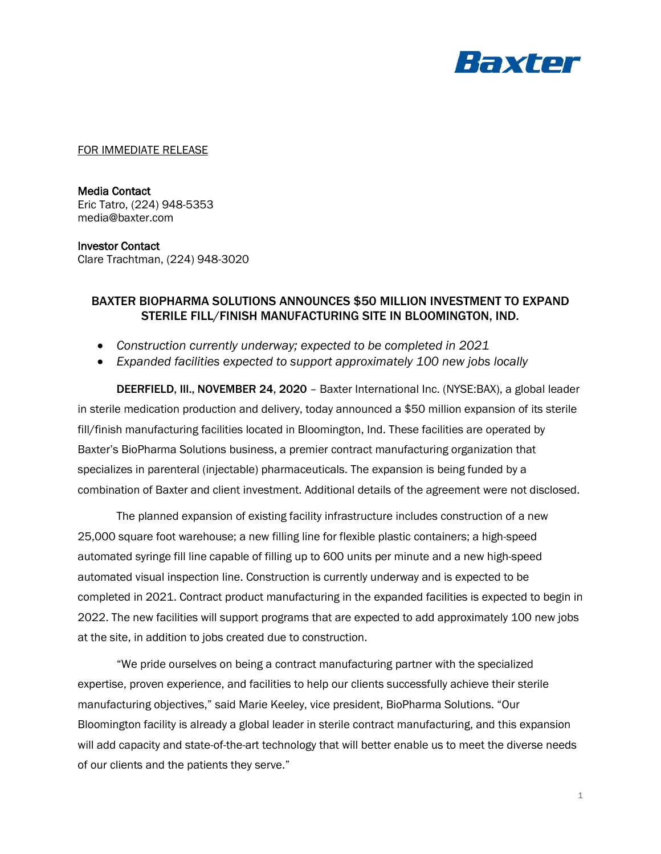

FOR IMMEDIATE RELEASE

Media Contact Eric Tatro, (224) 948-5353 media@baxter.com

## Investor Contact

Clare Trachtman, (224) 948-3020

## BAXTER BIOPHARMA SOLUTIONS ANNOUNCES \$50 MILLION INVESTMENT TO EXPAND STERILE FILL/FINISH MANUFACTURING SITE IN BLOOMINGTON, IND.

- *Construction currently underway; expected to be completed in 2021*
- *Expanded facilities expected to support approximately 100 new jobs locally*

DEERFIELD, Ill., NOVEMBER 24, 2020 – Baxter International Inc. (NYSE:BAX), a global leader in sterile medication production and delivery, today announced a \$50 million expansion of its sterile fill/finish manufacturing facilities located in Bloomington, Ind. These facilities are operated by Baxter's BioPharma Solutions business, a premier contract manufacturing organization that specializes in parenteral (injectable) pharmaceuticals. The expansion is being funded by a combination of Baxter and client investment. Additional details of the agreement were not disclosed.

The planned expansion of existing facility infrastructure includes construction of a new 25,000 square foot warehouse; a new filling line for flexible plastic containers; a high-speed automated syringe fill line capable of filling up to 600 units per minute and a new high-speed automated visual inspection line. Construction is currently underway and is expected to be completed in 2021. Contract product manufacturing in the expanded facilities is expected to begin in 2022. The new facilities will support programs that are expected to add approximately 100 new jobs at the site, in addition to jobs created due to construction.

"We pride ourselves on being a contract manufacturing partner with the specialized expertise, proven experience, and facilities to help our clients successfully achieve their sterile manufacturing objectives," said Marie Keeley, vice president, BioPharma Solutions. "Our Bloomington facility is already a global leader in sterile contract manufacturing, and this expansion will add capacity and state-of-the-art technology that will better enable us to meet the diverse needs of our clients and the patients they serve."